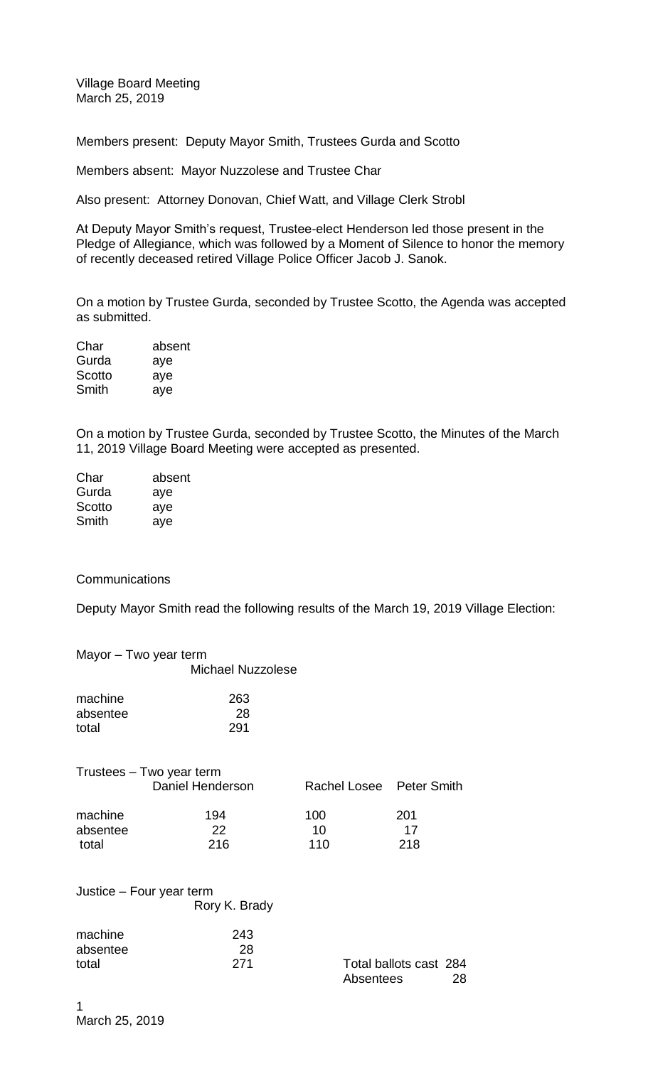Village Board Meeting March 25, 2019

Members present: Deputy Mayor Smith, Trustees Gurda and Scotto

Members absent: Mayor Nuzzolese and Trustee Char

Also present: Attorney Donovan, Chief Watt, and Village Clerk Strobl

At Deputy Mayor Smith's request, Trustee-elect Henderson led those present in the Pledge of Allegiance, which was followed by a Moment of Silence to honor the memory of recently deceased retired Village Police Officer Jacob J. Sanok.

On a motion by Trustee Gurda, seconded by Trustee Scotto, the Agenda was accepted as submitted.

| Char   | absent |
|--------|--------|
| Gurda  | aye    |
| Scotto | aye    |
| Smith  | aye    |

On a motion by Trustee Gurda, seconded by Trustee Scotto, the Minutes of the March 11, 2019 Village Board Meeting were accepted as presented.

| absent |
|--------|
| aye    |
| aye    |
| aye    |
|        |

## **Communications**

Deputy Mayor Smith read the following results of the March 19, 2019 Village Election:

|                              | Mayor - Two year term                        |                          |                  |
|------------------------------|----------------------------------------------|--------------------------|------------------|
|                              | <b>Michael Nuzzolese</b>                     |                          |                  |
| machine<br>absentee<br>total | 263<br>28<br>291                             |                          |                  |
|                              | Trustees - Two year term<br>Daniel Henderson | Rachel Losee Peter Smith |                  |
| machine<br>absentee<br>total | 194<br>22<br>216                             | 100<br>10<br>110         | 201<br>17<br>218 |
|                              | Justice – Four year term<br>Rory K. Brady    |                          |                  |
| machine<br>absentee          | 243<br>28                                    |                          |                  |

total 271 Total ballots cast 284

Absentees 28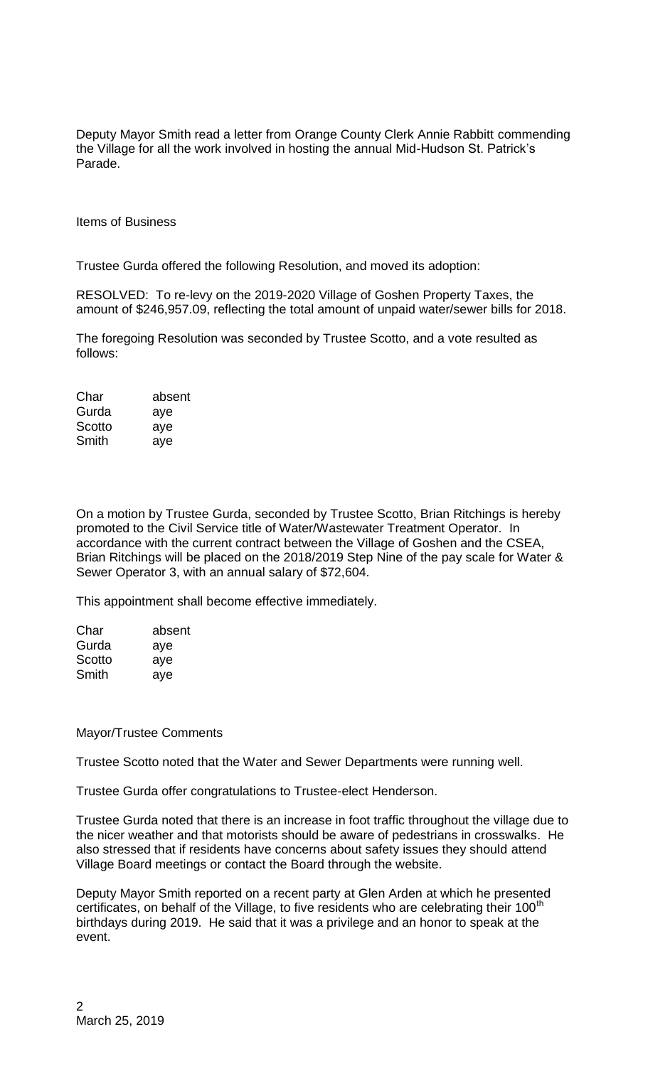Deputy Mayor Smith read a letter from Orange County Clerk Annie Rabbitt commending the Village for all the work involved in hosting the annual Mid-Hudson St. Patrick's Parade.

Items of Business

Trustee Gurda offered the following Resolution, and moved its adoption:

RESOLVED: To re-levy on the 2019-2020 Village of Goshen Property Taxes, the amount of \$246,957.09, reflecting the total amount of unpaid water/sewer bills for 2018.

The foregoing Resolution was seconded by Trustee Scotto, and a vote resulted as follows:

| Char   | absent |
|--------|--------|
| Gurda  | aye    |
| Scotto | aye    |
| Smith  | aye    |

On a motion by Trustee Gurda, seconded by Trustee Scotto, Brian Ritchings is hereby promoted to the Civil Service title of Water/Wastewater Treatment Operator. In accordance with the current contract between the Village of Goshen and the CSEA, Brian Ritchings will be placed on the 2018/2019 Step Nine of the pay scale for Water & Sewer Operator 3, with an annual salary of \$72,604.

This appointment shall become effective immediately.

| absent |
|--------|
| aye    |
| aye    |
| ave    |
|        |

## Mayor/Trustee Comments

Trustee Scotto noted that the Water and Sewer Departments were running well.

Trustee Gurda offer congratulations to Trustee-elect Henderson.

Trustee Gurda noted that there is an increase in foot traffic throughout the village due to the nicer weather and that motorists should be aware of pedestrians in crosswalks. He also stressed that if residents have concerns about safety issues they should attend Village Board meetings or contact the Board through the website.

Deputy Mayor Smith reported on a recent party at Glen Arden at which he presented certificates, on behalf of the Village, to five residents who are celebrating their 100<sup>th</sup> birthdays during 2019. He said that it was a privilege and an honor to speak at the event.